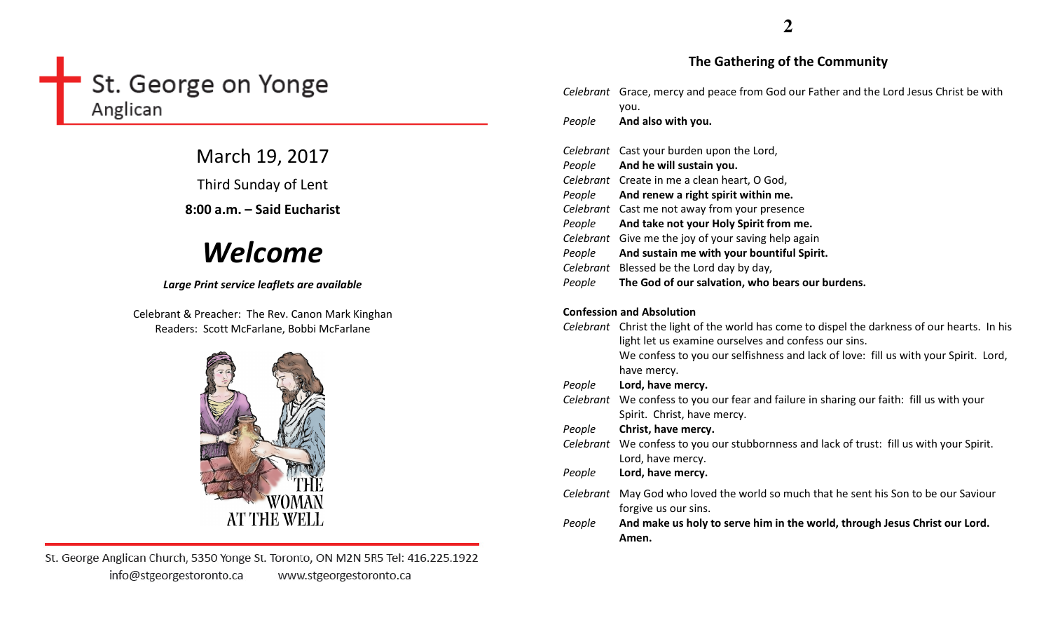# St. George on Yonge Anglican

March 19, 2017

Third Sunday of Lent

8:00 a.m. – Said Eucharist

# Welcome

# Large Print service leaflets are available

Celebrant & Preacher: The Rev. Canon Mark Kinghan Readers: Scott McFarlane, Bobbi McFarlane



St. George Anglican Church, 5350 Yonge St. Toronto, ON M2N 5R5 Tel: 416.225.1922 info@stgeorgestoronto.ca www.stgeorgestoronto.ca

# The Gathering of the Community

|                                  | Celebrant Grace, mercy and peace from God our Father and the Lord Jesus Christ be with<br>you.                                                        |  |
|----------------------------------|-------------------------------------------------------------------------------------------------------------------------------------------------------|--|
| People                           | And also with you.                                                                                                                                    |  |
|                                  | Celebrant Cast your burden upon the Lord,                                                                                                             |  |
| People                           | And he will sustain you.                                                                                                                              |  |
|                                  | Celebrant Create in me a clean heart, O God,                                                                                                          |  |
| People                           | And renew a right spirit within me.                                                                                                                   |  |
|                                  | Celebrant Cast me not away from your presence                                                                                                         |  |
| People                           | And take not your Holy Spirit from me.                                                                                                                |  |
|                                  | Celebrant Give me the joy of your saving help again                                                                                                   |  |
| People                           | And sustain me with your bountiful Spirit.                                                                                                            |  |
|                                  | Celebrant Blessed be the Lord day by day,                                                                                                             |  |
| People                           | The God of our salvation, who bears our burdens.                                                                                                      |  |
| <b>Confession and Absolution</b> |                                                                                                                                                       |  |
|                                  | Celebrant Christ the light of the world has come to dispel the darkness of our hearts. In his<br>light let us examine ourselves and confess our sins. |  |
|                                  | We confess to you our selfishness and lack of love: fill us with your Spirit. Lord,<br>have mercy.                                                    |  |
| People                           | Lord, have mercy.                                                                                                                                     |  |
|                                  | Celebrant We confess to you our fear and failure in sharing our faith: fill us with your<br>Spirit. Christ, have mercy.                               |  |
| People                           | Christ, have mercy.                                                                                                                                   |  |
|                                  | Celebrant We confess to you our stubbornness and lack of trust: fill us with your Spirit.<br>Lord, have mercy.                                        |  |
| People                           | Lord, have mercy.                                                                                                                                     |  |
|                                  | Celebrant May God who loved the world so much that he sent his Son to be our Saviour<br>forgive us our sins.                                          |  |
| People                           | And make us holy to serve him in the world, through Jesus Christ our Lord.<br>Amen.                                                                   |  |
|                                  |                                                                                                                                                       |  |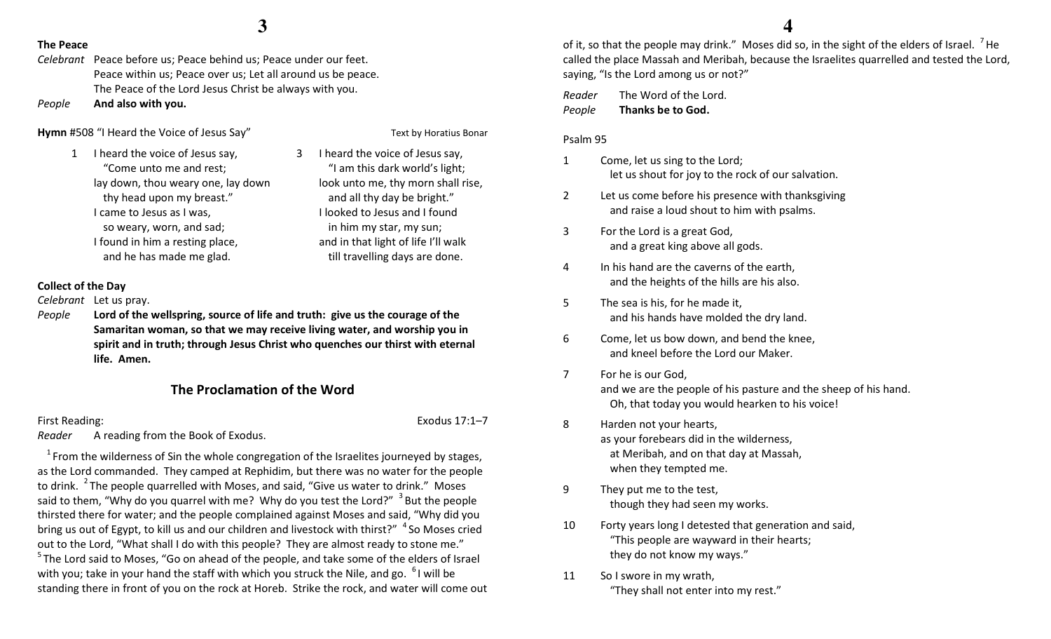3

### The Peace

Celebrant Peace before us; Peace behind us; Peace under our feet. Peace within us; Peace over us; Let all around us be peace. The Peace of the Lord Jesus Christ be always with you.

PeopleAnd also with you.

# Hymn #508 "I Heard the Voice of Jesus Say" Text by Horatius Bonar

- 1 I heard the voice of Jesus say, "Come unto me and rest; lay down, thou weary one, lay down thy head upon my breast." I came to Jesus as I was, so weary, worn, and sad; I found in him a resting place, and he has made me glad.
- I heard the voice of Jesus say, "I am this dark world's light; look unto me, thy morn shall rise, and all thy day be bright." I looked to Jesus and I found in him my star, my sun; and in that light of life I'll walk till travelling days are done.

# Collect of the Day

Celebrant Let us pray.

People Lord of the wellspring, source of life and truth: give us the courage of the Samaritan woman, so that we may receive living water, and worship you in spirit and in truth; through Jesus Christ who quenches our thirst with eternal life. Amen.

# The Proclamation of the Word

# First Reading: Exodus 17:1–7

Reader A reading from the Book of Exodus.

 $1$  From the wilderness of Sin the whole congregation of the Israelites journeyed by stages, as the Lord commanded. They camped at Rephidim, but there was no water for the people to drink. <sup>2</sup>The people quarrelled with Moses, and said, "Give us water to drink." Moses said to them, "Why do you quarrel with me? Why do you test the Lord?"  $3$  But the people thirsted there for water; and the people complained against Moses and said, "Why did you bring us out of Egypt, to kill us and our children and livestock with thirst?"  $4$  So Moses cried out to the Lord, "What shall I do with this people? They are almost ready to stone me."  $5$ The Lord said to Moses, "Go on ahead of the people, and take some of the elders of Israel with you; take in your hand the staff with which you struck the Nile, and go.  $61$  will be standing there in front of you on the rock at Horeb. Strike the rock, and water will come out

of it, so that the people may drink." Moses did so, in the sight of the elders of Israel.  $\frac{7}{1}$ He called the place Massah and Meribah, because the Israelites quarrelled and tested the Lord, saying, "Is the Lord among us or not?"

Reader The Word of the Lord. PeopleThanks be to God.

### Psalm 95

- 1 Come, let us sing to the Lord; let us shout for joy to the rock of our salvation.
- 2 Let us come before his presence with thanksgivingand raise a loud shout to him with psalms.
- 3 For the Lord is a great God, and a great king above all gods.
- 4 In his hand are the caverns of the earth, and the heights of the hills are his also.
- 5 The sea is his, for he made it, and his hands have molded the dry land.
- 6 Come, let us bow down, and bend the knee, and kneel before the Lord our Maker.
- 7 For he is our God, and we are the people of his pasture and the sheep of his hand. Oh, that today you would hearken to his voice!
- 8 Harden not your hearts, as your forebears did in the wilderness, at Meribah, and on that day at Massah, when they tempted me.
- 9 They put me to the test, though they had seen my works.
- 10 Forty years long I detested that generation and said, "This people are wayward in their hearts; they do not know my ways."
- 11 So I swore in my wrath, "They shall not enter into my rest."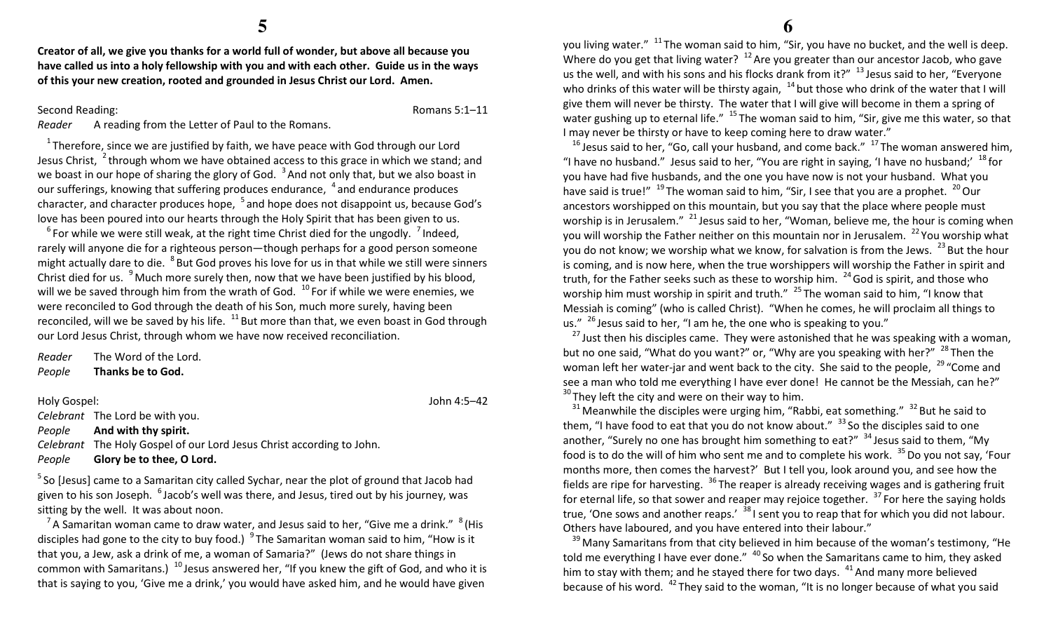Creator of all, we give you thanks for a world full of wonder, but above all because you have called us into a holy fellowship with you and with each other. Guide us in the ways of this your new creation, rooted and grounded in Jesus Christ our Lord. Amen.

Second Reading: Romans 5:1–11

Reader A reading from the Letter of Paul to the Romans.

 $1$ <sup>1</sup> Therefore, since we are justified by faith, we have peace with God through our Lord Jesus Christ,  $\frac{2}{3}$ through whom we have obtained access to this grace in which we stand; and we boast in our hope of sharing the glory of God.  $3$  And not only that, but we also boast in our sufferings, knowing that suffering produces endurance,  $4$  and endurance produces character, and character produces hope,  $\,^5$  and hope does not disappoint us, because God's love has been poured into our hearts through the Holy Spirit that has been given to us.

 $^6$  For while we were still weak, at the right time Christ died for the ungodly.  $^7$  Indeed, rarely will anyone die for a righteous person—though perhaps for a good person someone might actually dare to die. <sup>8</sup> But God proves his love for us in that while we still were sinners Christ died for us.  $9^9$  Much more surely then, now that we have been justified by his blood, will we be saved through him from the wrath of God.  $10^{\circ}$  For if while we were enemies, we were reconciled to God through the death of his Son, much more surely, having been reconciled, will we be saved by his life.  $^{11}$  But more than that, we even boast in God through our Lord Jesus Christ, through whom we have now received reconciliation.

Reader The Word of the Lord. PeopleThanks be to God.

Holy Gospel: John 4:5–42

Celebrant The Lord be with you.

PeopleAnd with thy spirit.

Celebrant The Holy Gospel of our Lord Jesus Christ according to John.

PeopleGlory be to thee, O Lord.

 $5$  So [Jesus] came to a Samaritan city called Sychar, near the plot of ground that Jacob had given to his son Joseph.  $6$  Jacob's well was there, and Jesus, tired out by his journey, was sitting by the well. It was about noon.

<sup>7</sup> A Samaritan woman came to draw water, and Jesus said to her, "Give me a drink."  $8$  (His disciples had gone to the city to buy food.)  $9^9$  The Samaritan woman said to him, "How is it that you, a Jew, ask a drink of me, a woman of Samaria?" (Jews do not share things in common with Samaritans.)  $^{10}$  Jesus answered her, "If you knew the gift of God, and who it is that is saying to you, 'Give me a drink,' you would have asked him, and he would have given

you living water." <sup>11</sup>The woman said to him, "Sir, you have no bucket, and the well is deep. Where do you get that living water?  $12$  Are you greater than our ancestor Jacob, who gave us the well, and with his sons and his flocks drank from it?"  $13$  Jesus said to her, "Everyone who drinks of this water will be thirsty again,  $14$  but those who drink of the water that I will give them will never be thirsty. The water that I will give will become in them a spring of water gushing up to eternal life."  $15$  The woman said to him, "Sir, give me this water, so that I may never be thirsty or have to keep coming here to draw water."

 $^{16}$  Jesus said to her, "Go, call your husband, and come back."  $^{17}$  The woman answered him, "I have no husband." Jesus said to her, "You are right in saying, 'I have no husband;'  $^{18}$  for you have had five husbands, and the one you have now is not your husband. What you have said is true!"  $^{19}$  The woman said to him, "Sir, I see that you are a prophet.  $^{20}$  Our ancestors worshipped on this mountain, but you say that the place where people must worship is in Jerusalem."  $^{21}$  Jesus said to her, "Woman, believe me, the hour is coming when you will worship the Father neither on this mountain nor in Jerusalem. <sup>22</sup> You worship what you do not know; we worship what we know, for salvation is from the Jews.  $^{23}$  But the hour is coming, and is now here, when the true worshippers will worship the Father in spirit and truth, for the Father seeks such as these to worship him.  $24$  God is spirit, and those who worship him must worship in spirit and truth."  $^{25}$  The woman said to him, "I know that Messiah is coming" (who is called Christ). "When he comes, he will proclaim all things to us."  $^{26}$  Jesus said to her, "I am he, the one who is speaking to you."

 $^{27}$  Just then his disciples came. They were astonished that he was speaking with a woman, but no one said, "What do you want?" or, "Why are you speaking with her?"  $^{28}$  Then the woman left her water-jar and went back to the city. She said to the people,  $^{29}$  "Come and see a man who told me everything I have ever done! He cannot be the Messiah, can he?"  $30$  They left the city and were on their way to him.

 $31$  Meanwhile the disciples were urging him, "Rabbi, eat something."  $32$  But he said to them, "I have food to eat that you do not know about."  $33$  So the disciples said to one another, "Surely no one has brought him something to eat?"  $34$  Jesus said to them, "My food is to do the will of him who sent me and to complete his work.  $^{35}$  Do you not say, 'Four months more, then comes the harvest?' But I tell you, look around you, and see how the fields are ripe for harvesting.  $36$  The reaper is already receiving wages and is gathering fruit for eternal life, so that sower and reaper may rejoice together.  $37$  For here the saying holds true, 'One sows and another reaps.'  $38$  I sent you to reap that for which you did not labour. Others have laboured, and you have entered into their labour."

 $39$  Many Samaritans from that city believed in him because of the woman's testimony, "He told me everything I have ever done."  $40$  So when the Samaritans came to him, they asked him to stay with them; and he stayed there for two days.  $41$  And many more believed because of his word.  $42$  They said to the woman, "It is no longer because of what you said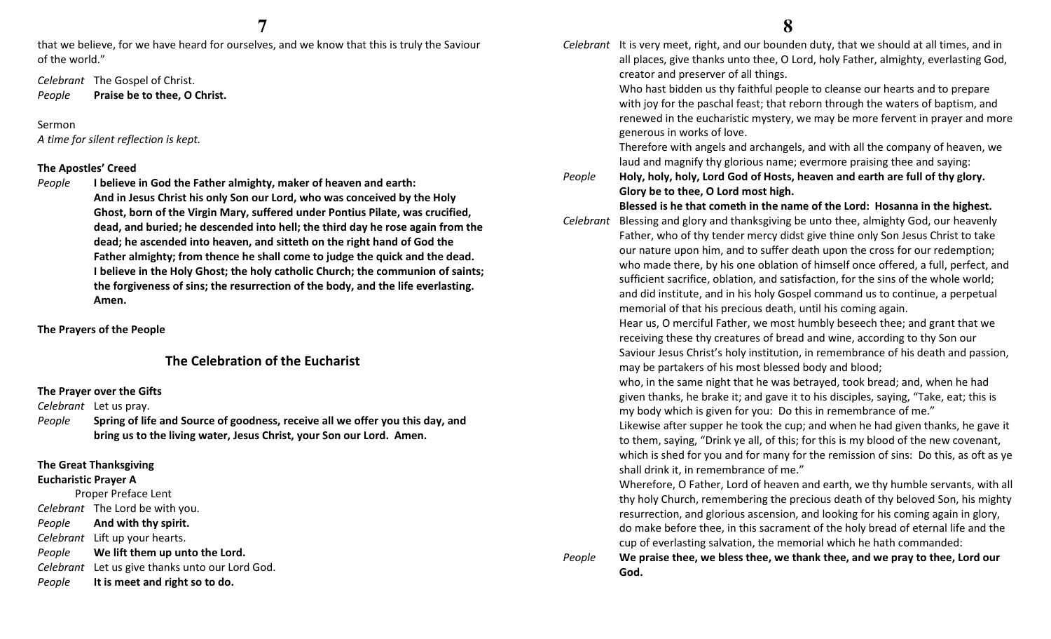that we believe, for we have heard for ourselves, and we know that this is truly the Saviour of the world."

Celebrant The Gospel of Christ. PeoplePraise be to thee, O Christ.

Sermon

A time for silent reflection is kept.

### The Apostles' Creed

People I believe in God the Father almighty, maker of heaven and earth: And in Jesus Christ his only Son our Lord, who was conceived by the Holy Ghost, born of the Virgin Mary, suffered under Pontius Pilate, was crucified, dead, and buried; he descended into hell; the third day he rose again from the dead; he ascended into heaven, and sitteth on the right hand of God the Father almighty; from thence he shall come to judge the quick and the dead. I believe in the Holy Ghost; the holy catholic Church; the communion of saints; the forgiveness of sins; the resurrection of the body, and the life everlasting. Amen.

The Prayers of the People

# The Celebration of the Eucharist

### The Prayer over the Gifts

Celebrant Let us pray.

People Spring of life and Source of goodness, receive all we offer you this day, and bring us to the living water, Jesus Christ, your Son our Lord. Amen.

# The Great Thanksgiving

# Eucharistic Prayer A

Proper Preface Lent Celebrant The Lord be with you. People And with thy spirit. Celebrant Lift up your hearts. People We lift them up unto the Lord. Celebrant Let us give thanks unto our Lord God. PeopleIt is meet and right so to do.

Celebrant It is very meet, right, and our bounden duty, that we should at all times, and in all places, give thanks unto thee, O Lord, holy Father, almighty, everlasting God, creator and preserver of all things.

> Who hast bidden us thy faithful people to cleanse our hearts and to prepare with joy for the paschal feast; that reborn through the waters of baptism, and renewed in the eucharistic mystery, we may be more fervent in prayer and more generous in works of love.

Therefore with angels and archangels, and with all the company of heaven, we laud and magnify thy glorious name; evermore praising thee and saying:

People Holy, holy, holy, Lord God of Hosts, heaven and earth are full of thy glory. Glory be to thee, O Lord most high.

Blessed is he that cometh in the name of the Lord: Hosanna in the highest.

Celebrant Blessing and glory and thanksgiving be unto thee, almighty God, our heavenly Father, who of thy tender mercy didst give thine only Son Jesus Christ to take our nature upon him, and to suffer death upon the cross for our redemption; who made there, by his one oblation of himself once offered, a full, perfect, and sufficient sacrifice, oblation, and satisfaction, for the sins of the whole world; and did institute, and in his holy Gospel command us to continue, a perpetual memorial of that his precious death, until his coming again.

> Hear us, O merciful Father, we most humbly beseech thee; and grant that we receiving these thy creatures of bread and wine, according to thy Son our Saviour Jesus Christ's holy institution, in remembrance of his death and passion, may be partakers of his most blessed body and blood;

who, in the same night that he was betrayed, took bread; and, when he had given thanks, he brake it; and gave it to his disciples, saying, "Take, eat; this is my body which is given for you: Do this in remembrance of me."

Likewise after supper he took the cup; and when he had given thanks, he gave it to them, saying, "Drink ye all, of this; for this is my blood of the new covenant, which is shed for you and for many for the remission of sins: Do this, as oft as ye shall drink it, in remembrance of me."

Wherefore, O Father, Lord of heaven and earth, we thy humble servants, with all thy holy Church, remembering the precious death of thy beloved Son, his mighty resurrection, and glorious ascension, and looking for his coming again in glory, do make before thee, in this sacrament of the holy bread of eternal life and the cup of everlasting salvation, the memorial which he hath commanded:

PeopleWe praise thee, we bless thee, we thank thee, and we pray to thee, Lord our God.